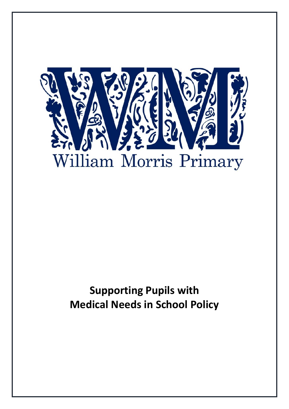

# **Supporting Pupils with Medical Needs in School Policy**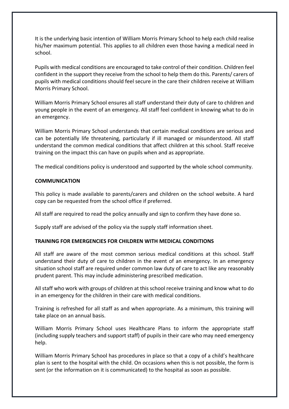It is the underlying basic intention of William Morris Primary School to help each child realise his/her maximum potential. This applies to all children even those having a medical need in school.

Pupils with medical conditions are encouraged to take control of their condition. Children feel confident in the support they receive from the school to help them do this. Parents/ carers of pupils with medical conditions should feel secure in the care their children receive at William Morris Primary School.

William Morris Primary School ensures all staff understand their duty of care to children and young people in the event of an emergency. All staff feel confident in knowing what to do in an emergency.

William Morris Primary School understands that certain medical conditions are serious and can be potentially life threatening, particularly if ill managed or misunderstood. All staff understand the common medical conditions that affect children at this school. Staff receive training on the impact this can have on pupils when and as appropriate.

The medical conditions policy is understood and supported by the whole school community.

#### **COMMUNICATION**

This policy is made available to parents/carers and children on the school website. A hard copy can be requested from the school office if preferred.

All staff are required to read the policy annually and sign to confirm they have done so.

Supply staff are advised of the policy via the supply staff information sheet.

## **TRAINING FOR EMERGENCIES FOR CHILDREN WITH MEDICAL CONDITIONS**

All staff are aware of the most common serious medical conditions at this school. Staff understand their duty of care to children in the event of an emergency. In an emergency situation school staff are required under common law duty of care to act like any reasonably prudent parent. This may include administering prescribed medication.

All staff who work with groups of children at this school receive training and know what to do in an emergency for the children in their care with medical conditions.

Training is refreshed for all staff as and when appropriate. As a minimum, this training will take place on an annual basis.

William Morris Primary School uses Healthcare Plans to inform the appropriate staff (including supply teachers and support staff) of pupils in their care who may need emergency help.

William Morris Primary School has procedures in place so that a copy of a child's healthcare plan is sent to the hospital with the child. On occasions when this is not possible, the form is sent (or the information on it is communicated) to the hospital as soon as possible.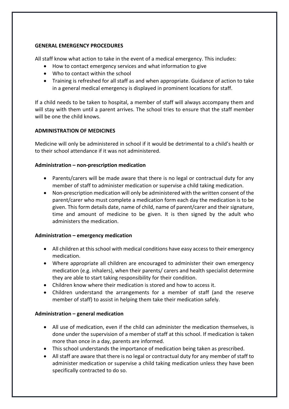#### **GENERAL EMERGENCY PROCEDURES**

All staff know what action to take in the event of a medical emergency. This includes:

- How to contact emergency services and what information to give
- Who to contact within the school
- Training is refreshed for all staff as and when appropriate. Guidance of action to take in a general medical emergency is displayed in prominent locations for staff.

If a child needs to be taken to hospital, a member of staff will always accompany them and will stay with them until a parent arrives. The school tries to ensure that the staff member will be one the child knows.

## **ADMINISTRATION OF MEDICINES**

Medicine will only be administered in school if it would be detrimental to a child's health or to their school attendance if it was not administered.

## **Administration – non-prescription medication**

- Parents/carers will be made aware that there is no legal or contractual duty for any member of staff to administer medication or supervise a child taking medication.
- Non-prescription medication will only be administered with the written consent of the parent/carer who must complete a medication form each day the medication is to be given. This form details date, name of child, name of parent/carer and their signature, time and amount of medicine to be given. It is then signed by the adult who administers the medication.

## **Administration – emergency medication**

- All children at this school with medical conditions have easy access to their emergency medication.
- Where appropriate all children are encouraged to administer their own emergency medication (e.g. inhalers), when their parents/ carers and health specialist determine they are able to start taking responsibility for their condition.
- Children know where their medication is stored and how to access it.
- Children understand the arrangements for a member of staff (and the reserve member of staff) to assist in helping them take their medication safely.

## **Administration – general medication**

- All use of medication, even if the child can administer the medication themselves, is done under the supervision of a member of staff at this school. If medication is taken more than once in a day, parents are informed.
- This school understands the importance of medication being taken as prescribed.
- All staff are aware that there is no legal or contractual duty for any member of staff to administer medication or supervise a child taking medication unless they have been specifically contracted to do so.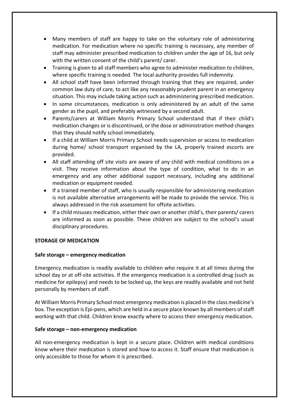- Many members of staff are happy to take on the voluntary role of administering medication. For medication where no specific training is necessary, any member of staff may administer prescribed medication to children under the age of 16, but only with the written consent of the child's parent/ carer.
- Training is given to all staff members who agree to administer medication to children, where specific training is needed. The local authority provides full indemnity.
- All school staff have been informed through training that they are required, under common law duty of care, to act like any reasonably prudent parent in an emergency situation. This may include taking action such as administering prescribed medication.
- In some circumstances, medication is only administered by an adult of the same gender as the pupil, and preferably witnessed by a second adult.
- Parents/carers at William Morris Primary School understand that if their child's medication changes or is discontinued, or the dose or administration method changes that they should notify school immediately.
- If a child at William Morris Primary School needs supervision or access to medication during home/ school transport organised by the LA, properly trained escorts are provided.
- All staff attending off site visits are aware of any child with medical conditions on a visit. They receive information about the type of condition, what to do in an emergency and any other additional support necessary, including any additional medication or equipment needed.
- If a trained member of staff, who is usually responsible for administering medication is not available alternative arrangements will be made to provide the service. This is always addressed in the risk assessment for offsite activities.
- If a child misuses medication, either their own or another child's, their parents/ carers are informed as soon as possible. These children are subject to the school's usual disciplinary procedures.

## **STORAGE OF MEDICATION**

#### **Safe storage – emergency medication**

Emergency medication is readily available to children who require it at all times during the school day or at off-site activities. If the emergency medication is a controlled drug (such as medicine for epilepsy) and needs to be locked up, the keys are readily available and not held personally by members of staff.

At William Morris Primary School most emergency medication is placed in the class medicine's box. The exception is Epi-pens, which are held in a secure place known by all members of staff working with that child. Children know exactly where to access their emergency medication.

#### **Safe storage – non-emergency medication**

All non-emergency medication is kept in a secure place. Children with medical conditions know where their medication is stored and how to access it. Staff ensure that medication is only accessible to those for whom it is prescribed.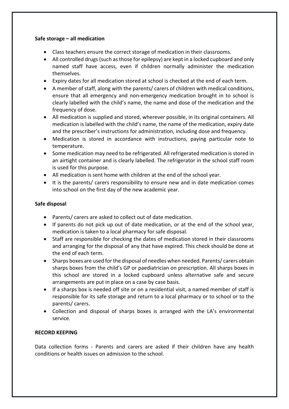#### **Safe storage – all medication**

- Class teachers ensure the correct storage of medication in their classrooms.
- All controlled drugs (such as those for epilepsy) are kept in a locked cupboard and only named staff have access, even if children normally administer the medication themselves.
- Expiry dates for all medication stored at school is checked at the end of each term.
- A member of staff, along with the parents/ carers of children with medical conditions, ensure that all emergency and non-emergency medication brought in to school is clearly labelled with the child's name, the name and dose of the medication and the frequency of dose.
- All medication is supplied and stored, wherever possible, in its original containers. All medication is labelled with the child's name, the name of the medication, expiry date and the prescriber's instructions for administration, including dose and frequency.
- Medication is stored in accordance with instructions, paying particular note to temperature.
- Some medication may need to be refrigerated. All refrigerated medication is stored in an airtight container and is clearly labelled. The refrigerator in the school staff room is used for this purpose.
- All medication is sent home with children at the end of the school year.
- It is the parents/ carers responsibility to ensure new and in date medication comes into school on the first day of the new academic year.

## **Safe disposal**

- Parents/ carers are asked to collect out of date medication.
- If parents do not pick up out of date medication, or at the end of the school year, medication is taken to a local pharmacy for safe disposal.
- Staff are responsible for checking the dates of medication stored in their classrooms and arranging for the disposal of any that have expired. This check should be done at the end of each term.
- Sharps boxes are used for the disposal of needles when needed. Parents/ carers obtain sharps boxes from the child's GP or paediatrician on prescription. All sharps boxes in this school are stored in a locked cupboard unless alternative safe and secure arrangements are put in place on a case by case basis.
- If a sharps box is needed off site or on a residential visit, a named member of staff is responsible for its safe storage and return to a local pharmacy or to school or to the parents/ carers.
- Collection and disposal of sharps boxes is arranged with the LA's environmental service.

## **RECORD KEEPING**

Data collection forms - Parents and carers are asked if their children have any health conditions or health issues on admission to the school.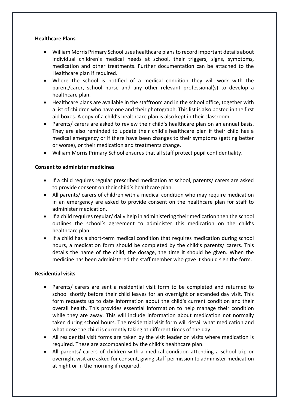#### **Healthcare Plans**

- William Morris Primary School uses healthcare plans to record important details about individual children's medical needs at school, their triggers, signs, symptoms, medication and other treatments. Further documentation can be attached to the Healthcare plan if required.
- Where the school is notified of a medical condition they will work with the parent/carer, school nurse and any other relevant professional(s) to develop a healthcare plan.
- Healthcare plans are available in the staffroom and in the school office, together with a list of children who have one and their photograph. This list is also posted in the first aid boxes. A copy of a child's healthcare plan is also kept in their classroom.
- Parents/ carers are asked to review their child's healthcare plan on an annual basis. They are also reminded to update their child's healthcare plan if their child has a medical emergency or if there have been changes to their symptoms (getting better or worse), or their medication and treatments change.
- William Morris Primary School ensures that all staff protect pupil confidentiality.

#### **Consent to administer medicines**

- If a child requires regular prescribed medication at school, parents/ carers are asked to provide consent on their child's healthcare plan.
- All parents/ carers of children with a medical condition who may require medication in an emergency are asked to provide consent on the healthcare plan for staff to administer medication.
- If a child requires regular/ daily help in administering their medication then the school outlines the school's agreement to administer this medication on the child's healthcare plan.
- If a child has a short-term medical condition that requires medication during school hours, a medication form should be completed by the child's parents/ carers. This details the name of the child, the dosage, the time it should be given. When the medicine has been administered the staff member who gave it should sign the form.

#### **Residential visits**

- Parents/ carers are sent a residential visit form to be completed and returned to school shortly before their child leaves for an overnight or extended day visit. This form requests up to date information about the child's current condition and their overall health. This provides essential information to help manage their condition while they are away. This will include information about medication not normally taken during school hours. The residential visit form will detail what medication and what dose the child is currently taking at different times of the day.
- All residential visit forms are taken by the visit leader on visits where medication is required. These are accompanied by the child's healthcare plan.
- All parents/ carers of children with a medical condition attending a school trip or overnight visit are asked for consent, giving staff permission to administer medication at night or in the morning if required.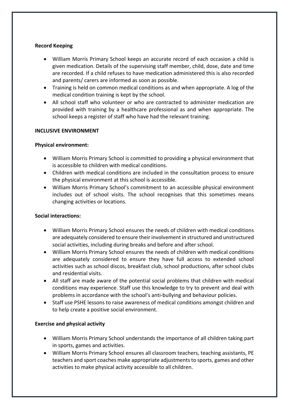## **Record Keeping**

- William Morris Primary School keeps an accurate record of each occasion a child is given medication. Details of the supervising staff member, child, dose, date and time are recorded. If a child refuses to have medication administered this is also recorded and parents/ carers are informed as soon as possible.
- Training is held on common medical conditions as and when appropriate. A log of the medical condition training is kept by the school.
- All school staff who volunteer or who are contracted to administer medication are provided with training by a healthcare professional as and when appropriate. The school keeps a register of staff who have had the relevant training.

## **INCLUSIVE ENVIRONMENT**

## **Physical environment:**

- William Morris Primary School is committed to providing a physical environment that is accessible to children with medical conditions.
- Children with medical conditions are included in the consultation process to ensure the physical environment at this school is accessible.
- William Morris Primary School's commitment to an accessible physical environment includes out of school visits. The school recognises that this sometimes means changing activities or locations.

#### **Social interactions:**

- William Morris Primary School ensures the needs of children with medical conditions are adequately considered to ensure their involvement in structured and unstructured social activities, including during breaks and before and after school.
- William Morris Primary School ensures the needs of children with medical conditions are adequately considered to ensure they have full access to extended school activities such as school discos, breakfast club, school productions, after school clubs and residential visits.
- All staff are made aware of the potential social problems that children with medical conditions may experience. Staff use this knowledge to try to prevent and deal with problems in accordance with the school's anti-bullying and behaviour policies.
- Staff use PSHE lessons to raise awareness of medical conditions amongst children and to help create a positive social environment.

## **Exercise and physical activity**

- William Morris Primary School understands the importance of all children taking part in sports, games and activities.
- William Morris Primary School ensures all classroom teachers, teaching assistants, PE teachers and sport coaches make appropriate adjustments to sports, games and other activities to make physical activity accessible to all children.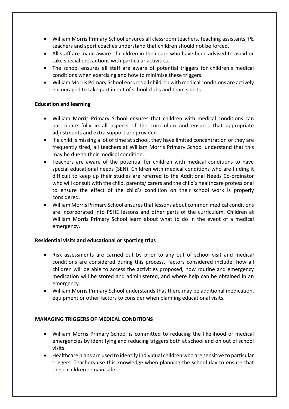- William Morris Primary School ensures all classroom teachers, teaching assistants, PE teachers and sport coaches understand that children should not be forced.
- All staff are made aware of children in their care who have been advised to avoid or take special precautions with particular activities.
- The school ensures all staff are aware of potential triggers for children's medical conditions when exercising and how to minimise these triggers.
- William Morris Primary School ensures all children with medical conditions are actively encouraged to take part in out of school clubs and team sports.

## **Education and learning**

- William Morris Primary School ensures that children with medical conditions can participate fully in all aspects of the curriculum and ensures that appropriate adjustments and extra support are provided
- If a child is missing a lot of time at school, they have limited concentration or they are frequently tired, all teachers at William Morris Primary School understand that this may be due to their medical condition.
- Teachers are aware of the potential for children with medical conditions to have special educational needs (SEN). Children with medical conditions who are finding it difficult to keep up their studies are referred to the Additional Needs Co-ordinator who will consult with the child, parents/ carers and the child's healthcare professional to ensure the effect of the child's condition on their school work is properly considered.
- William Morris Primary School ensures that lessons about common medical conditions are incorporated into PSHE lessons and other parts of the curriculum. Children at William Morris Primary School learn about what to do in the event of a medical emergency.

## **Residential visits and educational or sporting trips**

- Risk assessments are carried out by prior to any out of school visit and medical conditions are considered during this process. Factors considered include: how all children will be able to access the activities proposed, how routine and emergency medication will be stored and administered, and where help can be obtained in an emergency.
- William Morris Primary School understands that there may be additional medication, equipment or other factors to consider when planning educational visits.

## **MANAGING TRIGGERS OF MEDICAL CONDITIONS**

- William Morris Primary School is committed to reducing the likelihood of medical emergencies by identifying and reducing triggers both at school and on out of school visits.
- Healthcare plans are used to identify individual children who are sensitive to particular triggers. Teachers use this knowledge when planning the school day to ensure that these children remain safe.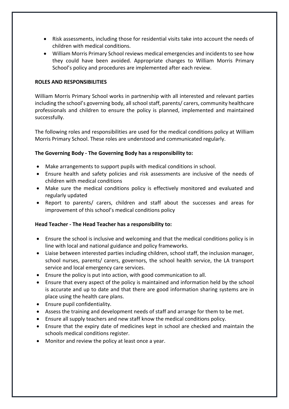- Risk assessments, including those for residential visits take into account the needs of children with medical conditions.
- William Morris Primary School reviews medical emergencies and incidents to see how they could have been avoided. Appropriate changes to William Morris Primary School's policy and procedures are implemented after each review.

#### **ROLES AND RESPONSIBILITIES**

William Morris Primary School works in partnership with all interested and relevant parties including the school's governing body, all school staff, parents/ carers, community healthcare professionals and children to ensure the policy is planned, implemented and maintained successfully.

The following roles and responsibilities are used for the medical conditions policy at William Morris Primary School. These roles are understood and communicated regularly.

## **The Governing Body - The Governing Body has a responsibility to:**

- Make arrangements to support pupils with medical conditions in school.
- Ensure health and safety policies and risk assessments are inclusive of the needs of children with medical conditions
- Make sure the medical conditions policy is effectively monitored and evaluated and regularly updated
- Report to parents/ carers, children and staff about the successes and areas for improvement of this school's medical conditions policy

## **Head Teacher - The Head Teacher has a responsibility to:**

- Ensure the school is inclusive and welcoming and that the medical conditions policy is in line with local and national guidance and policy frameworks.
- Liaise between interested parties including children, school staff, the inclusion manager, school nurses, parents/ carers, governors, the school health service, the LA transport service and local emergency care services.
- Ensure the policy is put into action, with good communication to all.
- Ensure that every aspect of the policy is maintained and information held by the school is accurate and up to date and that there are good information sharing systems are in place using the health care plans.
- Ensure pupil confidentiality.
- Assess the training and development needs of staff and arrange for them to be met.
- Ensure all supply teachers and new staff know the medical conditions policy.
- Ensure that the expiry date of medicines kept in school are checked and maintain the schools medical conditions register.
- Monitor and review the policy at least once a year.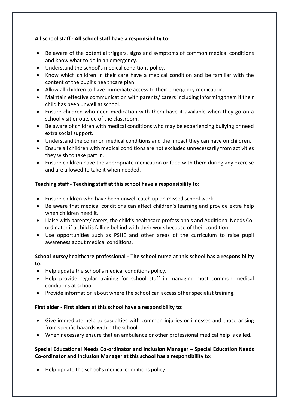# **All school staff - All school staff have a responsibility to:**

- Be aware of the potential triggers, signs and symptoms of common medical conditions and know what to do in an emergency.
- Understand the school's medical conditions policy.
- Know which children in their care have a medical condition and be familiar with the content of the pupil's healthcare plan.
- Allow all children to have immediate access to their emergency medication.
- Maintain effective communication with parents/ carers including informing them if their child has been unwell at school.
- Ensure children who need medication with them have it available when they go on a school visit or outside of the classroom.
- Be aware of children with medical conditions who may be experiencing bullying or need extra social support.
- Understand the common medical conditions and the impact they can have on children.
- Ensure all children with medical conditions are not excluded unnecessarily from activities they wish to take part in.
- Ensure children have the appropriate medication or food with them during any exercise and are allowed to take it when needed.

# **Teaching staff - Teaching staff at this school have a responsibility to:**

- Ensure children who have been unwell catch up on missed school work.
- Be aware that medical conditions can affect children's learning and provide extra help when children need it.
- Liaise with parents/ carers, the child's healthcare professionals and Additional Needs Coordinator if a child is falling behind with their work because of their condition.
- Use opportunities such as PSHE and other areas of the curriculum to raise pupil awareness about medical conditions.

# **School nurse/healthcare professional - The school nurse at this school has a responsibility to:**

- Help update the school's medical conditions policy.
- Help provide regular training for school staff in managing most common medical conditions at school.
- Provide information about where the school can access other specialist training.

## **First aider - First aiders at this school have a responsibility to:**

- Give immediate help to casualties with common injuries or illnesses and those arising from specific hazards within the school.
- When necessary ensure that an ambulance or other professional medical help is called.

# **Special Educational Needs Co-ordinator and Inclusion Manager – Special Education Needs Co-ordinator and Inclusion Manager at this school has a responsibility to:**

Help update the school's medical conditions policy.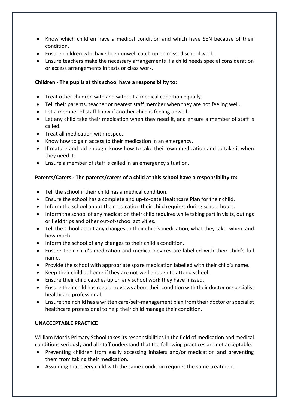- Know which children have a medical condition and which have SEN because of their condition.
- Ensure children who have been unwell catch up on missed school work.
- Ensure teachers make the necessary arrangements if a child needs special consideration or access arrangements in tests or class work.

## **Children - The pupils at this school have a responsibility to:**

- Treat other children with and without a medical condition equally.
- Tell their parents, teacher or nearest staff member when they are not feeling well.
- Let a member of staff know if another child is feeling unwell.
- Let any child take their medication when they need it, and ensure a member of staff is called.
- Treat all medication with respect.
- Know how to gain access to their medication in an emergency.
- If mature and old enough, know how to take their own medication and to take it when they need it.
- Ensure a member of staff is called in an emergency situation.

# **Parents/Carers - The parents/carers of a child at this school have a responsibility to:**

- Tell the school if their child has a medical condition.
- Ensure the school has a complete and up-to-date Healthcare Plan for their child.
- Inform the school about the medication their child requires during school hours.
- Inform the school of any medication their child requires while taking part in visits, outings or field trips and other out-of-school activities.
- Tell the school about any changes to their child's medication, what they take, when, and how much.
- Inform the school of any changes to their child's condition.
- Ensure their child's medication and medical devices are labelled with their child's full name.
- Provide the school with appropriate spare medication labelled with their child's name.
- Keep their child at home if they are not well enough to attend school.
- Ensure their child catches up on any school work they have missed.
- Ensure their child has regular reviews about their condition with their doctor or specialist healthcare professional.
- Ensure their child has a written care/self-management plan from their doctor or specialist healthcare professional to help their child manage their condition.

## **UNACCEPTABLE PRACTICE**

William Morris Primary School takes its responsibilities in the field of medication and medical conditions seriously and all staff understand that the following practices are not acceptable:

- Preventing children from easily accessing inhalers and/or medication and preventing them from taking their medication.
- Assuming that every child with the same condition requires the same treatment.